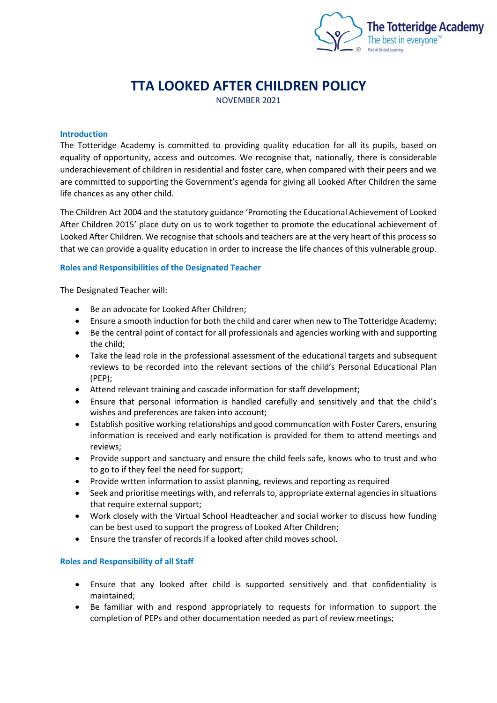

# **TTA LOOKED AFTER CHILDREN POLICY**

NOVEMBER 2021

## **Introduction**

The Totteridge Academy is committed to providing quality education for all its pupils, based on equality of opportunity, access and outcomes. We recognise that, nationally, there is considerable underachievement of children in residential and foster care, when compared with their peers and we are committed to supporting the Government's agenda for giving all Looked After Children the same life chances as any other child.

The Children Act 2004 and the statutory guidance 'Promoting the Educational Achievement of Looked After Children 2015' place duty on us to work together to promote the educational achievement of Looked After Children. We recognise that schools and teachers are at the very heart of this process so that we can provide a quality education in order to increase the life chances of this vulnerable group.

#### **Roles and Responsibilities of the Designated Teacher**

The Designated Teacher will:

- Be an advocate for Looked After Children;
- Ensure a smooth induction for both the child and carer when new to The Totteridge Academy;
- Be the central point of contact for all professionals and agencies working with and supporting the child;
- Take the lead role in the professional assessment of the educational targets and subsequent reviews to be recorded into the relevant sections of the child's Personal Educational Plan (PEP);
- Attend relevant training and cascade information for staff development;
- Ensure that personal information is handled carefully and sensitively and that the child's wishes and preferences are taken into account;
- Establish positive working relationships and good communcation with Foster Carers, ensuring information is received and early notification is provided for them to attend meetings and reviews;
- Provide support and sanctuary and ensure the child feels safe, knows who to trust and who to go to if they feel the need for support;
- Provide wrtten information to assist planning, reviews and reporting as required
- Seek and prioritise meetings with, and referrals to, appropriate external agencies in situations that require external support;
- Work closely with the Virtual School Headteacher and social worker to discuss how funding can be best used to support the progress of Looked After Children;
- Ensure the transfer of records if a looked after child moves school.

# **Roles and Responsibility of all Staff**

- Ensure that any looked after child is supported sensitively and that confidentiality is maintained;
- Be familiar with and respond appropriately to requests for information to support the completion of PEPs and other documentation needed as part of review meetings;